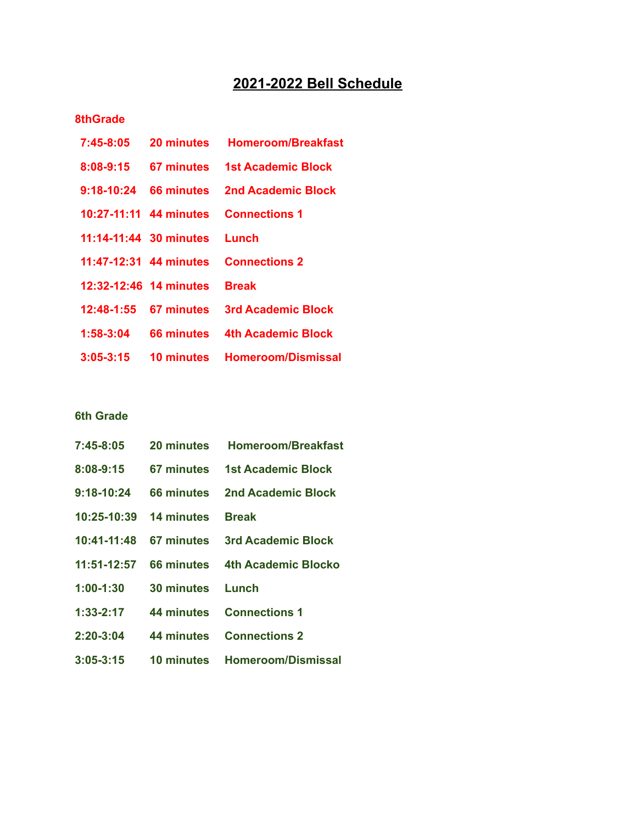# **2021-2022 Bell Schedule**

### **8thGrade**

| $7:45 - 8:05$          | 20 minutes               | <b>Homeroom/Breakfast</b> |
|------------------------|--------------------------|---------------------------|
| 8:08-9:15              | 67 minutes               | <b>1st Academic Block</b> |
| 9:18-10:24             | 66 minutes               | 2nd Academic Block        |
| 10:27-11:11 44 minutes |                          | <b>Connections 1</b>      |
| 11:14-11:44 30 minutes |                          | Lunch                     |
|                        | $11:47-12:31$ 44 minutes | <b>Connections 2</b>      |
| 12:32-12:46 14 minutes |                          | <b>Break</b>              |
|                        | 12:48-1:55 67 minutes    | 3rd Academic Block        |
| $1:58-3:04$            | 66 minutes               | 4th Academic Block        |
| $3:05 - 3:15$          | 10 minutes               | <b>Homeroom/Dismissal</b> |

## **6th Grade**

| 7:45-8:05     |                              | 20 minutes Homeroom/Breakfast              |
|---------------|------------------------------|--------------------------------------------|
| 8:08-9:15     |                              | 67 minutes 1st Academic Block              |
| 9:18-10:24    |                              | 66 minutes 2nd Academic Block              |
|               | 10:25-10:39 14 minutes Break |                                            |
|               |                              | 10:41-11:48 67 minutes 3rd Academic Block  |
|               |                              | 11:51-12:57 66 minutes 4th Academic Blocko |
| $1:00-1:30$   | <b>30 minutes</b>            | Lunch                                      |
| 1:33-2:17     | 44 minutes                   | <b>Connections 1</b>                       |
| 2:20-3:04     |                              | 44 minutes Connections 2                   |
| $3:05 - 3:15$ | 10 minutes                   | <b>Homeroom/Dismissal</b>                  |